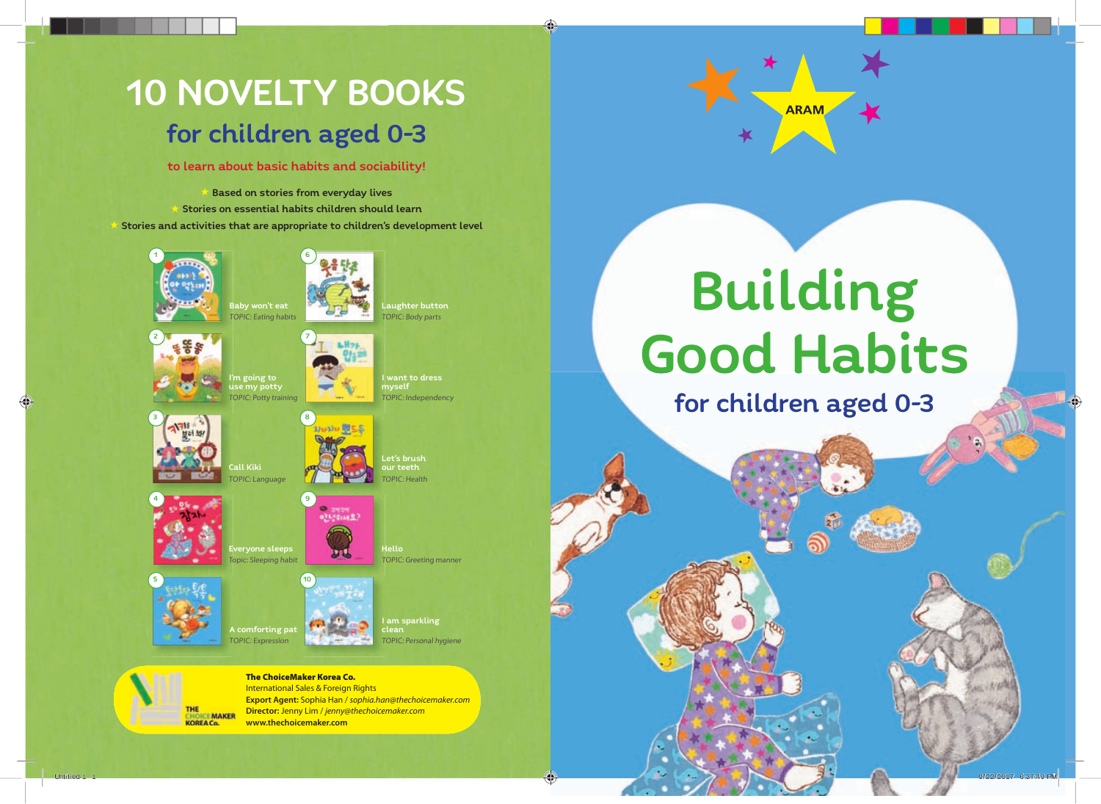## 10 NOVELTY BOOKS for children aged 0-3

to learn about basic habits and sociability!

**Based on stories from everyday lives** 

Stories on essential habits children should learn Stories and activities that are appropriate to children's development level







Hello

TOPIC: Greeting manner

I am sparkling clean

TOPIC: Personal hygiene





Call Kiki C: Language

5 10 comforting pat TOPIC: Expression



The ChoiceMaker Korea Co. International Sales & Foreign Rights **Export Agent:** Sophia Han / *sophia.han@thechoicemaker.com* **Director:** Jenny Lim / *jenny@thechoicemaker.com* **www.thechoicemaker.com**



## Building Good Habits

for children aged 0-3